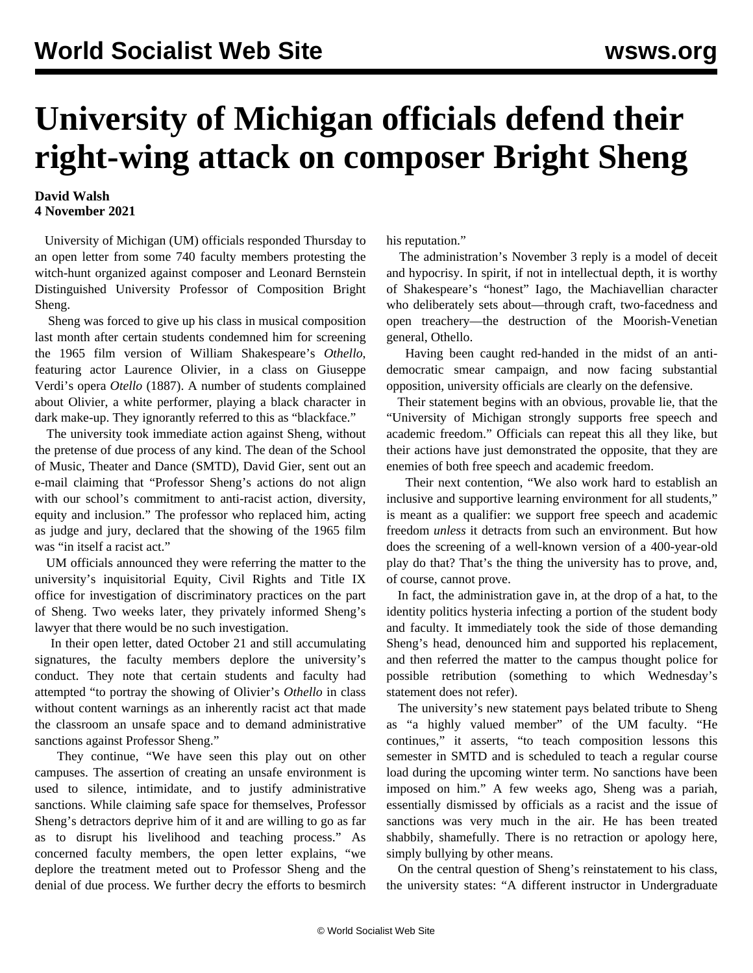## **University of Michigan officials defend their right-wing attack on composer Bright Sheng**

## **David Walsh 4 November 2021**

 University of Michigan (UM) officials responded Thursday to an open letter from some 740 faculty members protesting the witch-hunt organized against composer and Leonard Bernstein Distinguished University Professor of Composition Bright Sheng.

 Sheng was forced to give up his class in musical composition last month after certain students condemned him for screening the 1965 film version of William Shakespeare's *Othello*, featuring actor Laurence Olivier, in a class on Giuseppe Verdi's opera *Otello* (1887). A number of students complained about Olivier, a white performer, playing a black character in dark make-up. They ignorantly referred to this as "blackface."

 The university took immediate action against Sheng, without the pretense of due process of any kind. The dean of the School of Music, Theater and Dance (SMTD), David Gier, sent out an e-mail claiming that "Professor Sheng's actions do not align with our school's commitment to anti-racist action, diversity, equity and inclusion." The professor who replaced him, acting as judge and jury, declared that the showing of the 1965 film was "in itself a racist act."

 UM officials announced they were referring the matter to the university's inquisitorial Equity, Civil Rights and Title IX office for investigation of discriminatory practices on the part of Sheng. Two weeks later, they privately informed Sheng's lawyer that there would be no such investigation.

 In their open letter, dated October 21 and still accumulating signatures, the faculty members deplore the university's conduct. They note that certain students and faculty had attempted "to portray the showing of Olivier's *Othello* in class without content warnings as an inherently racist act that made the classroom an unsafe space and to demand administrative sanctions against Professor Sheng."

 They continue, "We have seen this play out on other campuses. The assertion of creating an unsafe environment is used to silence, intimidate, and to justify administrative sanctions. While claiming safe space for themselves, Professor Sheng's detractors deprive him of it and are willing to go as far as to disrupt his livelihood and teaching process." As concerned faculty members, the open letter explains, "we deplore the treatment meted out to Professor Sheng and the denial of due process. We further decry the efforts to besmirch his reputation."

 The administration's November 3 reply is a model of deceit and hypocrisy. In spirit, if not in intellectual depth, it is worthy of Shakespeare's "honest" Iago, the Machiavellian character who deliberately sets about—through craft, two-facedness and open treachery—the destruction of the Moorish-Venetian general, Othello.

 Having been caught red-handed in the midst of an antidemocratic smear campaign, and now facing substantial opposition, university officials are clearly on the defensive.

 Their statement begins with an obvious, provable lie, that the "University of Michigan strongly supports free speech and academic freedom." Officials can repeat this all they like, but their actions have just demonstrated the opposite, that they are enemies of both free speech and academic freedom.

 Their next contention, "We also work hard to establish an inclusive and supportive learning environment for all students," is meant as a qualifier: we support free speech and academic freedom *unless* it detracts from such an environment. But how does the screening of a well-known version of a 400-year-old play do that? That's the thing the university has to prove, and, of course, cannot prove.

 In fact, the administration gave in, at the drop of a hat, to the identity politics hysteria infecting a portion of the student body and faculty. It immediately took the side of those demanding Sheng's head, denounced him and supported his replacement, and then referred the matter to the campus thought police for possible retribution (something to which Wednesday's statement does not refer).

 The university's new statement pays belated tribute to Sheng as "a highly valued member" of the UM faculty. "He continues," it asserts, "to teach composition lessons this semester in SMTD and is scheduled to teach a regular course load during the upcoming winter term. No sanctions have been imposed on him." A few weeks ago, Sheng was a pariah, essentially dismissed by officials as a racist and the issue of sanctions was very much in the air. He has been treated shabbily, shamefully. There is no retraction or apology here, simply bullying by other means.

 On the central question of Sheng's reinstatement to his class, the university states: "A different instructor in Undergraduate